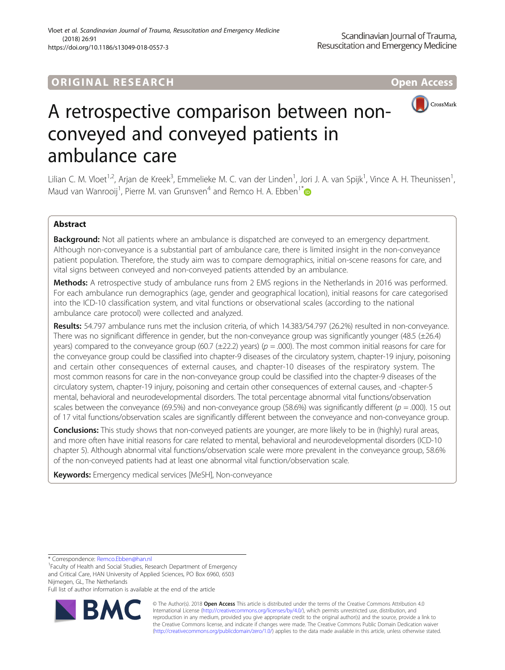# ORIGINA L R E S EA RCH Open Access



# A retrospective comparison between nonconveyed and conveyed patients in ambulance care

Lilian C. M. Vloet<sup>1,2</sup>, Arjan de Kreek<sup>3</sup>, Emmelieke M. C. van der Linden<sup>1</sup>, Jori J. A. van Spijk<sup>1</sup>, Vince A. H. Theunissen<sup>1</sup> , Maud van Wanrooij<sup>1</sup>, Pierre M. van Grunsven<sup>4</sup> and Remco H. A. Ebben<sup>1[\\*](http://orcid.org/0000-0002-8865-8784)</sup>

# Abstract

Background: Not all patients where an ambulance is dispatched are conveyed to an emergency department. Although non-conveyance is a substantial part of ambulance care, there is limited insight in the non-conveyance patient population. Therefore, the study aim was to compare demographics, initial on-scene reasons for care, and vital signs between conveyed and non-conveyed patients attended by an ambulance.

Methods: A retrospective study of ambulance runs from 2 EMS regions in the Netherlands in 2016 was performed. For each ambulance run demographics (age, gender and geographical location), initial reasons for care categorised into the ICD-10 classification system, and vital functions or observational scales (according to the national ambulance care protocol) were collected and analyzed.

Results: 54.797 ambulance runs met the inclusion criteria, of which 14.383/54.797 (26.2%) resulted in non-conveyance. There was no significant difference in gender, but the non-conveyance group was significantly younger (48.5 (±26.4) years) compared to the conveyance group (60.7 ( $\pm$ 22.2) years) ( $p = .000$ ). The most common initial reasons for care for the conveyance group could be classified into chapter-9 diseases of the circulatory system, chapter-19 injury, poisoning and certain other consequences of external causes, and chapter-10 diseases of the respiratory system. The most common reasons for care in the non-conveyance group could be classified into the chapter-9 diseases of the circulatory system, chapter-19 injury, poisoning and certain other consequences of external causes, and -chapter-5 mental, behavioral and neurodevelopmental disorders. The total percentage abnormal vital functions/observation scales between the conveyance (69.5%) and non-conveyance group (58.6%) was significantly different ( $p = .000$ ). 15 out of 17 vital functions/observation scales are significantly different between the conveyance and non-conveyance group.

**Conclusions:** This study shows that non-conveyed patients are younger, are more likely to be in (highly) rural areas, and more often have initial reasons for care related to mental, behavioral and neurodevelopmental disorders (ICD-10 chapter 5). Although abnormal vital functions/observation scale were more prevalent in the conveyance group, 58.6% of the non-conveyed patients had at least one abnormal vital function/observation scale.

Keywords: Emergency medical services [MeSH], Non-conveyance

\* Correspondence: [Remco.Ebben@han.nl](mailto:Remco.Ebben@han.nl) <sup>1</sup>

<sup>1</sup> Faculty of Health and Social Studies, Research Department of Emergency and Critical Care, HAN University of Applied Sciences, PO Box 6960, 6503 Nijmegen, GL, The Netherlands

Full list of author information is available at the end of the article



© The Author(s). 2018 Open Access This article is distributed under the terms of the Creative Commons Attribution 4.0 International License [\(http://creativecommons.org/licenses/by/4.0/](http://creativecommons.org/licenses/by/4.0/)), which permits unrestricted use, distribution, and reproduction in any medium, provided you give appropriate credit to the original author(s) and the source, provide a link to the Creative Commons license, and indicate if changes were made. The Creative Commons Public Domain Dedication waiver [\(http://creativecommons.org/publicdomain/zero/1.0/](http://creativecommons.org/publicdomain/zero/1.0/)) applies to the data made available in this article, unless otherwise stated.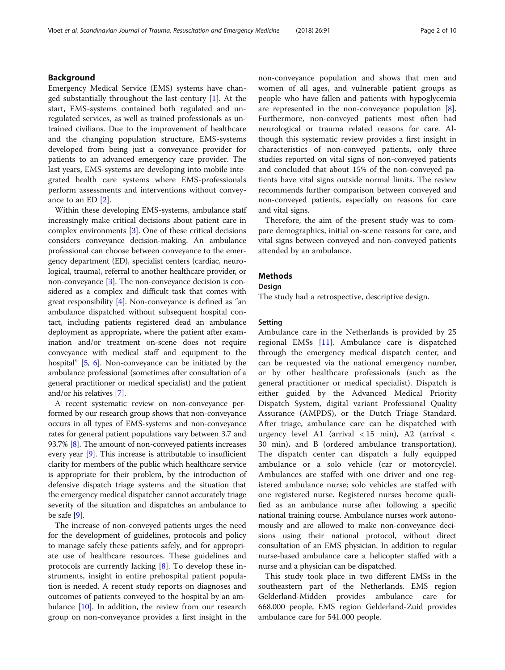# Background

Emergency Medical Service (EMS) systems have changed substantially throughout the last century [\[1](#page-8-0)]. At the start, EMS-systems contained both regulated and unregulated services, as well as trained professionals as untrained civilians. Due to the improvement of healthcare and the changing population structure, EMS-systems developed from being just a conveyance provider for patients to an advanced emergency care provider. The last years, EMS-systems are developing into mobile integrated health care systems where EMS-professionals perform assessments and interventions without conveyance to an ED [\[2\]](#page-8-0).

Within these developing EMS-systems, ambulance staff increasingly make critical decisions about patient care in complex environments [\[3](#page-8-0)]. One of these critical decisions considers conveyance decision-making. An ambulance professional can choose between conveyance to the emergency department (ED), specialist centers (cardiac, neurological, trauma), referral to another healthcare provider, or non-conveyance [[3\]](#page-8-0). The non-conveyance decision is considered as a complex and difficult task that comes with great responsibility  $[4]$  $[4]$  $[4]$ . Non-conveyance is defined as "an ambulance dispatched without subsequent hospital contact, including patients registered dead an ambulance deployment as appropriate, where the patient after examination and/or treatment on-scene does not require conveyance with medical staff and equipment to the hospital" [[5,](#page-8-0) [6\]](#page-8-0). Non-conveyance can be initiated by the ambulance professional (sometimes after consultation of a general practitioner or medical specialist) and the patient and/or his relatives [[7](#page-8-0)].

A recent systematic review on non-conveyance performed by our research group shows that non-conveyance occurs in all types of EMS-systems and non-conveyance rates for general patient populations vary between 3.7 and 93.7% [[8\]](#page-8-0). The amount of non-conveyed patients increases every year [\[9](#page-8-0)]. This increase is attributable to insufficient clarity for members of the public which healthcare service is appropriate for their problem, by the introduction of defensive dispatch triage systems and the situation that the emergency medical dispatcher cannot accurately triage severity of the situation and dispatches an ambulance to be safe [\[9](#page-8-0)].

The increase of non-conveyed patients urges the need for the development of guidelines, protocols and policy to manage safely these patients safely, and for appropriate use of healthcare resources. These guidelines and protocols are currently lacking [[8](#page-8-0)]. To develop these instruments, insight in entire prehospital patient population is needed. A recent study reports on diagnoses and outcomes of patients conveyed to the hospital by an ambulance [\[10](#page-8-0)]. In addition, the review from our research group on non-conveyance provides a first insight in the non-conveyance population and shows that men and women of all ages, and vulnerable patient groups as people who have fallen and patients with hypoglycemia are represented in the non-conveyance population  $[8]$  $[8]$ . Furthermore, non-conveyed patients most often had neurological or trauma related reasons for care. Although this systematic review provides a first insight in characteristics of non-conveyed patients, only three studies reported on vital signs of non-conveyed patients and concluded that about 15% of the non-conveyed patients have vital signs outside normal limits. The review recommends further comparison between conveyed and non-conveyed patients, especially on reasons for care and vital signs.

Therefore, the aim of the present study was to compare demographics, initial on-scene reasons for care, and vital signs between conveyed and non-conveyed patients attended by an ambulance.

# **Methods**

# Design

The study had a retrospective, descriptive design.

# Setting

Ambulance care in the Netherlands is provided by 25 regional EMSs [\[11](#page-8-0)]. Ambulance care is dispatched through the emergency medical dispatch center, and can be requested via the national emergency number, or by other healthcare professionals (such as the general practitioner or medical specialist). Dispatch is either guided by the Advanced Medical Priority Dispatch System, digital variant Professional Quality Assurance (AMPDS), or the Dutch Triage Standard. After triage, ambulance care can be dispatched with urgency level A1 (arrival < 15 min), A2 (arrival < 30 min), and B (ordered ambulance transportation). The dispatch center can dispatch a fully equipped ambulance or a solo vehicle (car or motorcycle). Ambulances are staffed with one driver and one registered ambulance nurse; solo vehicles are staffed with one registered nurse. Registered nurses become qualified as an ambulance nurse after following a specific national training course. Ambulance nurses work autonomously and are allowed to make non-conveyance decisions using their national protocol, without direct consultation of an EMS physician. In addition to regular nurse-based ambulance care a helicopter staffed with a nurse and a physician can be dispatched.

This study took place in two different EMSs in the southeastern part of the Netherlands. EMS region Gelderland-Midden provides ambulance care for 668.000 people, EMS region Gelderland-Zuid provides ambulance care for 541.000 people.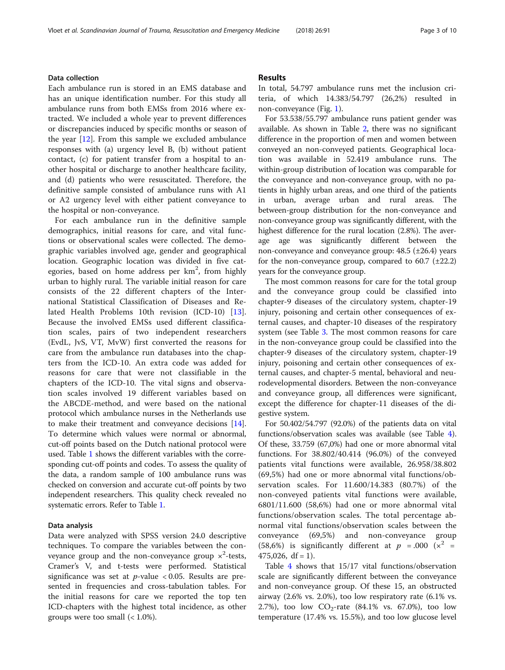# Data collection

Each ambulance run is stored in an EMS database and has an unique identification number. For this study all ambulance runs from both EMSs from 2016 where extracted. We included a whole year to prevent differences or discrepancies induced by specific months or season of the year [[12\]](#page-8-0). From this sample we excluded ambulance responses with (a) urgency level B, (b) without patient contact, (c) for patient transfer from a hospital to another hospital or discharge to another healthcare facility, and (d) patients who were resuscitated. Therefore, the definitive sample consisted of ambulance runs with A1 or A2 urgency level with either patient conveyance to the hospital or non-conveyance.

For each ambulance run in the definitive sample demographics, initial reasons for care, and vital functions or observational scales were collected. The demographic variables involved age, gender and geographical location. Geographic location was divided in five categories, based on home address per km<sup>2</sup>, from highly urban to highly rural. The variable initial reason for care consists of the 22 different chapters of the International Statistical Classification of Diseases and Related Health Problems 10th revision (ICD-10) [\[13](#page-9-0)]. Because the involved EMSs used different classification scales, pairs of two independent researchers (EvdL, JvS, VT, MvW) first converted the reasons for care from the ambulance run databases into the chapters from the ICD-10. An extra code was added for reasons for care that were not classifiable in the chapters of the ICD-10. The vital signs and observation scales involved 19 different variables based on the ABCDE-method, and were based on the national protocol which ambulance nurses in the Netherlands use to make their treatment and conveyance decisions [[14](#page-9-0)]. To determine which values were normal or abnormal, cut-off points based on the Dutch national protocol were used. Table [1](#page-3-0) shows the different variables with the corresponding cut-off points and codes. To assess the quality of the data, a random sample of 100 ambulance runs was checked on conversion and accurate cut-off points by two independent researchers. This quality check revealed no systematic errors. Refer to Table [1.](#page-3-0)

# Data analysis

Data were analyzed with SPSS version 24.0 descriptive techniques. To compare the variables between the conveyance group and the non-conveyance group  $x^2$ -tests, Cramer's V, and t-tests were performed. Statistical significance was set at  $p$ -value < 0.05. Results are presented in frequencies and cross-tabulation tables. For the initial reasons for care we reported the top ten ICD-chapters with the highest total incidence, as other groups were too small  $\left( < 1.0\% \right)$ .

# Results

In total, 54.797 ambulance runs met the inclusion criteria, of which 14.383/54.797 (26,2%) resulted in non-conveyance (Fig. [1\)](#page-5-0).

For 53.538/55.797 ambulance runs patient gender was available. As shown in Table [2,](#page-6-0) there was no significant difference in the proportion of men and women between conveyed an non-conveyed patients. Geographical location was available in 52.419 ambulance runs. The within-group distribution of location was comparable for the conveyance and non-conveyance group, with no patients in highly urban areas, and one third of the patients in urban, average urban and rural areas. The between-group distribution for the non-conveyance and non-conveyance group was significantly different, with the highest difference for the rural location (2.8%). The average age was significantly different between the non-conveyance and conveyance group: 48.5 (±26.4) years for the non-conveyance group, compared to  $60.7$  ( $\pm 22.2$ ) years for the conveyance group.

The most common reasons for care for the total group and the conveyance group could be classified into chapter-9 diseases of the circulatory system, chapter-19 injury, poisoning and certain other consequences of external causes, and chapter-10 diseases of the respiratory system (see Table [3.](#page-6-0) The most common reasons for care in the non-conveyance group could be classified into the chapter-9 diseases of the circulatory system, chapter-19 injury, poisoning and certain other consequences of external causes, and chapter-5 mental, behavioral and neurodevelopmental disorders. Between the non-conveyance and conveyance group, all differences were significant, except the difference for chapter-11 diseases of the digestive system.

For 50.402/54.797 (92.0%) of the patients data on vital functions/observation scales was available (see Table [4](#page-7-0)). Of these, 33.759 (67,0%) had one or more abnormal vital functions. For 38.802/40.414 (96.0%) of the conveyed patients vital functions were available, 26.958/38.802 (69,5%) had one or more abnormal vital functions/observation scales. For 11.600/14.383 (80.7%) of the non-conveyed patients vital functions were available, 6801/11.600 (58,6%) had one or more abnormal vital functions/observation scales. The total percentage abnormal vital functions/observation scales between the conveyance (69,5%) and non-conveyance group (58,6%) is significantly different at  $p = .000$  ( $\times^2$  =  $475,026, df = 1$ ).

Table [4](#page-7-0) shows that 15/17 vital functions/observation scale are significantly different between the conveyance and non-conveyance group. Of these 15, an obstructed airway (2.6% vs. 2.0%), too low respiratory rate (6.1% vs. 2.7%), too low  $CO_2$ -rate (84.1% vs. 67.0%), too low temperature (17.4% vs. 15.5%), and too low glucose level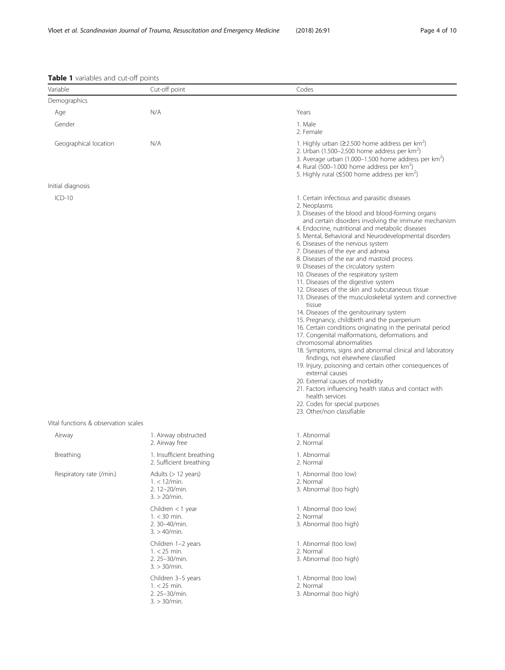# <span id="page-3-0"></span>Table 1 variables and cut-off points

| Variable                             | Cut-off point                                                           | Codes                                                                                                                                                                                                                                                                                                                                                                                                                                                                                                                                                                                                                                                                                                                                                                                                                                                                                                                                                                                                                                                                                                                                                                                                                                             |
|--------------------------------------|-------------------------------------------------------------------------|---------------------------------------------------------------------------------------------------------------------------------------------------------------------------------------------------------------------------------------------------------------------------------------------------------------------------------------------------------------------------------------------------------------------------------------------------------------------------------------------------------------------------------------------------------------------------------------------------------------------------------------------------------------------------------------------------------------------------------------------------------------------------------------------------------------------------------------------------------------------------------------------------------------------------------------------------------------------------------------------------------------------------------------------------------------------------------------------------------------------------------------------------------------------------------------------------------------------------------------------------|
| Demographics                         |                                                                         |                                                                                                                                                                                                                                                                                                                                                                                                                                                                                                                                                                                                                                                                                                                                                                                                                                                                                                                                                                                                                                                                                                                                                                                                                                                   |
| Age                                  | N/A                                                                     | Years                                                                                                                                                                                                                                                                                                                                                                                                                                                                                                                                                                                                                                                                                                                                                                                                                                                                                                                                                                                                                                                                                                                                                                                                                                             |
| Gender                               |                                                                         | 1. Male<br>2. Female                                                                                                                                                                                                                                                                                                                                                                                                                                                                                                                                                                                                                                                                                                                                                                                                                                                                                                                                                                                                                                                                                                                                                                                                                              |
| Geographical location                | N/A                                                                     | 1. Highly urban ( $\geq$ 2.500 home address per km <sup>2</sup> )<br>2. Urban (1.500-2.500 home address per $km2$ )<br>3. Average urban (1.000-1.500 home address per $km2$ )<br>4. Rural (500-1.000 home address per km <sup>2</sup> )<br>5. Highly rural ( $\leq$ 500 home address per km <sup>2</sup> )                                                                                                                                                                                                                                                                                                                                                                                                                                                                                                                                                                                                                                                                                                                                                                                                                                                                                                                                        |
| Initial diagnosis                    |                                                                         |                                                                                                                                                                                                                                                                                                                                                                                                                                                                                                                                                                                                                                                                                                                                                                                                                                                                                                                                                                                                                                                                                                                                                                                                                                                   |
| $ICD-10$                             |                                                                         | 1. Certain infectious and parasitic diseases<br>2. Neoplasms<br>3. Diseases of the blood and blood-forming organs<br>and certain disorders involving the immune mechanism<br>4. Endocrine, nutritional and metabolic diseases<br>5. Mental, Behavioral and Neurodevelopmental disorders<br>6. Diseases of the nervous system<br>7. Diseases of the eye and adnexa<br>8. Diseases of the ear and mastoid process<br>9. Diseases of the circulatory system<br>10. Diseases of the respiratory system<br>11. Diseases of the digestive system<br>12. Diseases of the skin and subcutaneous tissue<br>13. Diseases of the musculoskeletal system and connective<br>tissue<br>14. Diseases of the genitourinary system<br>15. Pregnancy, childbirth and the puerperium<br>16. Certain conditions originating in the perinatal period<br>17. Congenital malformations, deformations and<br>chromosomal abnormalities<br>18. Symptoms, signs and abnormal clinical and laboratory<br>findings, not elsewhere classified<br>19. Injury, poisoning and certain other consequences of<br>external causes<br>20. External causes of morbidity<br>21. Factors influencing health status and contact with<br>health services<br>22. Codes for special purposes |
|                                      |                                                                         | 23. Other/non classifiable                                                                                                                                                                                                                                                                                                                                                                                                                                                                                                                                                                                                                                                                                                                                                                                                                                                                                                                                                                                                                                                                                                                                                                                                                        |
| Vital functions & observation scales |                                                                         |                                                                                                                                                                                                                                                                                                                                                                                                                                                                                                                                                                                                                                                                                                                                                                                                                                                                                                                                                                                                                                                                                                                                                                                                                                                   |
| Airway                               | 1. Airway obstructed<br>2. Airway free                                  | 1. Abnormal<br>2. Normal                                                                                                                                                                                                                                                                                                                                                                                                                                                                                                                                                                                                                                                                                                                                                                                                                                                                                                                                                                                                                                                                                                                                                                                                                          |
| Breathing                            | 1. Insufficient breathing<br>2. Sufficient breathing                    | 1. Abnormal<br>2. Normal                                                                                                                                                                                                                                                                                                                                                                                                                                                                                                                                                                                                                                                                                                                                                                                                                                                                                                                                                                                                                                                                                                                                                                                                                          |
| Respiratory rate (/min.)             | Adults (> 12 years)<br>$1. < 12/min$ .<br>2. 12-20/min.<br>3. > 20/min. | 1. Abnormal (too low)<br>2. Normal<br>3. Abnormal (too high)                                                                                                                                                                                                                                                                                                                                                                                                                                                                                                                                                                                                                                                                                                                                                                                                                                                                                                                                                                                                                                                                                                                                                                                      |
|                                      | Children $<$ 1 year<br>$1. < 30$ min.<br>2. 30-40/min.<br>3. > 40/min.  | 1. Abnormal (too low)<br>2. Normal<br>3. Abnormal (too high)                                                                                                                                                                                                                                                                                                                                                                                                                                                                                                                                                                                                                                                                                                                                                                                                                                                                                                                                                                                                                                                                                                                                                                                      |
|                                      | Children 1-2 years<br>$1. < 25$ min.<br>2. 25-30/min.<br>3. > 30/min.   | 1. Abnormal (too low)<br>2. Normal<br>3. Abnormal (too high)                                                                                                                                                                                                                                                                                                                                                                                                                                                                                                                                                                                                                                                                                                                                                                                                                                                                                                                                                                                                                                                                                                                                                                                      |
|                                      | Children 3-5 years<br>$1. < 25$ min.<br>2. 25-30/min.<br>3. > 30/min.   | 1. Abnormal (too low)<br>2. Normal<br>3. Abnormal (too high)                                                                                                                                                                                                                                                                                                                                                                                                                                                                                                                                                                                                                                                                                                                                                                                                                                                                                                                                                                                                                                                                                                                                                                                      |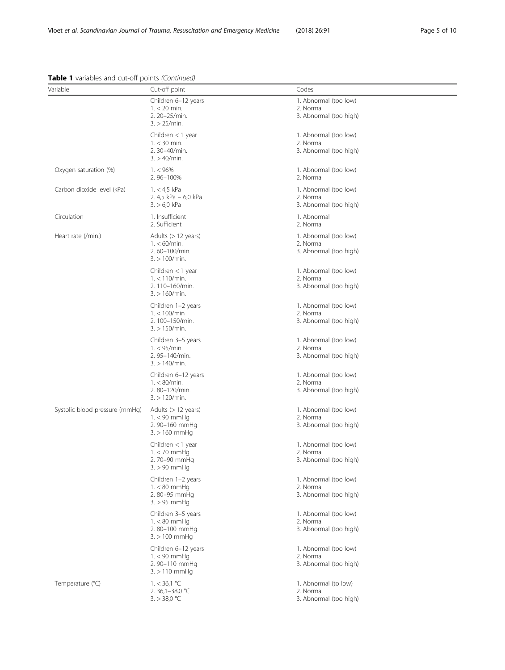| <b>Table 1</b> variables and cut-off points (Continued) |                                                                             |                                                              |
|---------------------------------------------------------|-----------------------------------------------------------------------------|--------------------------------------------------------------|
| Variable                                                | Cut-off point                                                               | Codes                                                        |
|                                                         | Children 6-12 years<br>$1. < 20$ min.<br>2. 20-25/min.<br>3. > 25/min.      | 1. Abnormal (too low)<br>2. Normal<br>3. Abnormal (too high) |
|                                                         | Children $<$ 1 year<br>$1. < 30$ min.<br>2. 30-40/min.<br>$3. > 40$ /min.   | 1. Abnormal (too low)<br>2. Normal<br>3. Abnormal (too high) |
| Oxygen saturation (%)                                   | $1. < 96\%$<br>2.96-100%                                                    | 1. Abnormal (too low)<br>2. Normal                           |
| Carbon dioxide level (kPa)                              | $1. < 4.5$ kPa<br>2. 4,5 kPa – 6,0 kPa<br>$3. > 6,0$ kPa                    | 1. Abnormal (too low)<br>2. Normal<br>3. Abnormal (too high) |
| Circulation                                             | 1. Insufficient<br>2. Sufficient                                            | 1. Abnormal<br>2. Normal                                     |
| Heart rate (/min.)                                      | Adults $($ 12 years)<br>1. < 60/min.<br>2.60-100/min.<br>3. > 100/min.      | 1. Abnormal (too low)<br>2. Normal<br>3. Abnormal (too high) |
|                                                         | Children $<$ 1 year<br>$1. < 110$ /min.<br>2. 110-160/min.<br>3. > 160/min. | 1. Abnormal (too low)<br>2. Normal<br>3. Abnormal (too high) |
|                                                         | Children 1-2 years<br>1. < 100/min<br>2. 100-150/min.<br>3. > 150/min.      | 1. Abnormal (too low)<br>2. Normal<br>3. Abnormal (too high) |
|                                                         | Children 3-5 years<br>1. < 95/min.<br>2. 95-140/min.<br>$3. > 140$ /min.    | 1. Abnormal (too low)<br>2. Normal<br>3. Abnormal (too high) |
|                                                         | Children 6-12 years<br>1. < 80/min.<br>2.80-120/min.<br>$3. > 120$ /min.    | 1. Abnormal (too low)<br>2. Normal<br>3. Abnormal (too high) |
| Systolic blood pressure (mmHg)                          | Adults $($ 12 years)<br>$1. < 90$ mmHg<br>2.90-160 mmHg<br>$3. > 160$ mmHq  | 1. Abnormal (too low)<br>2. Normal<br>3. Abnormal (too high) |
|                                                         | Children $<$ 1 year<br>$1. < 70$ mmHg<br>2.70-90 mmHq<br>$3. > 90$ mmHg     | 1. Abnormal (too low)<br>2. Normal<br>3. Abnormal (too high) |
|                                                         | Children 1-2 years<br>$1 < 80$ mmHq<br>2.80-95 mmHg<br>$3. > 95$ mmHq       | 1. Abnormal (too low)<br>2. Normal<br>3. Abnormal (too high) |
|                                                         | Children 3-5 years<br>$1 < 80$ mmHq<br>2.80-100 mmHg<br>$3. > 100$ mmHq     | 1. Abnormal (too low)<br>2. Normal<br>3. Abnormal (too high) |
|                                                         | Children 6-12 years<br>$1 < 90$ mmHq<br>2.90-110 mmHg<br>$3. > 110$ mmHg    | 1. Abnormal (too low)<br>2. Normal<br>3. Abnormal (too high) |
| Temperature (°C)                                        | $1. < 36,1$ °C<br>2. 36,1-38,0 °C<br>$3. > 38,0$ °C                         | 1. Abnormal (to low)<br>2. Normal<br>3. Abnormal (too high)  |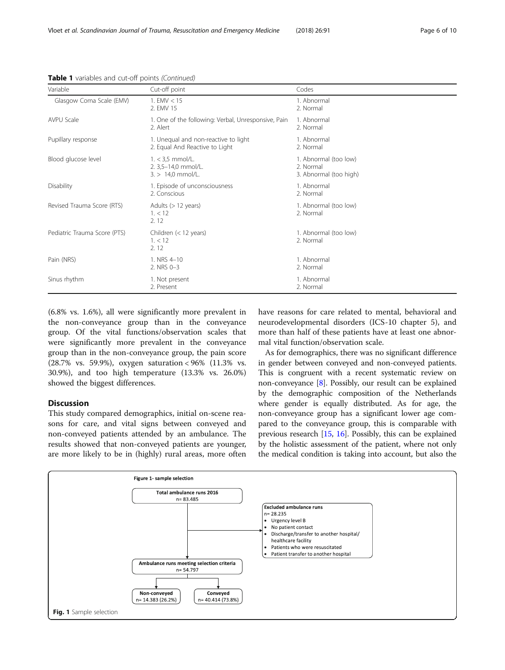| Variable                     | Cut-off point                                                          | Codes                                                        |
|------------------------------|------------------------------------------------------------------------|--------------------------------------------------------------|
| Glasgow Coma Scale (EMV)     | 1. $EMV < 15$<br>2. EMV 15                                             | 1. Abnormal<br>2. Normal                                     |
| <b>AVPU Scale</b>            | 1. One of the following: Verbal, Unresponsive, Pain<br>2. Alert        | 1. Abnormal<br>2. Normal                                     |
| Pupillary response           | 1. Unequal and non-reactive to light<br>2. Equal And Reactive to Light | 1. Abnormal<br>2. Normal                                     |
| Blood glucose level          | $1. < 3.5$ mmol/L.<br>2. 3,5-14,0 mmol/L.<br>$3. > 14.0$ mmol/L.       | 1. Abnormal (too low)<br>2. Normal<br>3. Abnormal (too high) |
| Disability                   | 1. Episode of unconsciousness<br>2. Conscious                          | 1. Abnormal<br>2. Normal                                     |
| Revised Trauma Score (RTS)   | Adults $($ 12 years)<br>1. < 12<br>2.12                                | 1. Abnormal (too low)<br>2. Normal                           |
| Pediatric Trauma Score (PTS) | Children $(< 12$ years)<br>1. < 12<br>2.12                             | 1. Abnormal (too low)<br>2. Normal                           |
| Pain (NRS)                   | 1. NRS 4-10<br>2. NRS 0-3                                              | 1. Abnormal<br>2. Normal                                     |
| Sinus rhythm                 | 1. Not present<br>2. Present                                           | 1. Abnormal<br>2. Normal                                     |

<span id="page-5-0"></span>Table 1 variables and cut-off points (Continued)

(6.8% vs. 1.6%), all were significantly more prevalent in the non-conveyance group than in the conveyance group. Of the vital functions/observation scales that were significantly more prevalent in the conveyance group than in the non-conveyance group, the pain score (28.7% vs. 59.9%), oxygen saturation < 96% (11.3% vs. 30.9%), and too high temperature (13.3% vs. 26.0%) showed the biggest differences.

# **Discussion**

This study compared demographics, initial on-scene reasons for care, and vital signs between conveyed and non-conveyed patients attended by an ambulance. The results showed that non-conveyed patients are younger, are more likely to be in (highly) rural areas, more often have reasons for care related to mental, behavioral and neurodevelopmental disorders (ICS-10 chapter 5), and more than half of these patients have at least one abnormal vital function/observation scale.

As for demographics, there was no significant difference in gender between conveyed and non-conveyed patients. This is congruent with a recent systematic review on non-conveyance [\[8](#page-8-0)]. Possibly, our result can be explained by the demographic composition of the Netherlands where gender is equally distributed. As for age, the non-conveyance group has a significant lower age compared to the conveyance group, this is comparable with previous research [[15](#page-9-0), [16](#page-9-0)]. Possibly, this can be explained by the holistic assessment of the patient, where not only the medical condition is taking into account, but also the

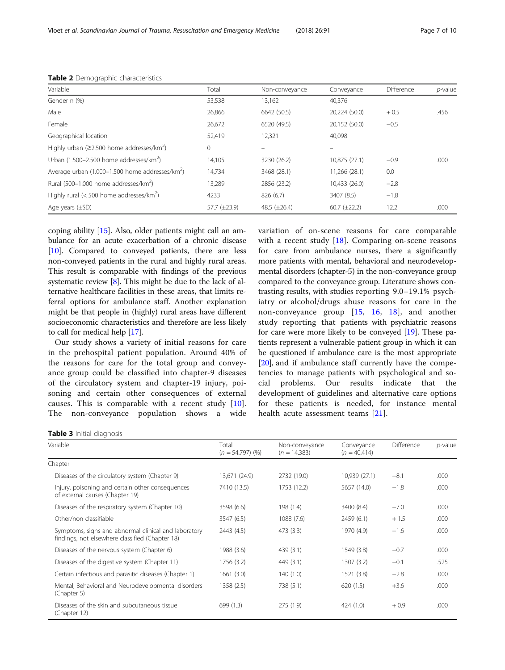| Variable                                                     | Total        | Non-conveyance    | Conveyance        | Difference | $p$ -value |
|--------------------------------------------------------------|--------------|-------------------|-------------------|------------|------------|
| Gender n (%)                                                 | 53,538       | 13,162            | 40,376            |            |            |
| Male                                                         | 26,866       | 6642 (50.5)       | 20,224 (50.0)     | $+0.5$     | .456       |
| Female                                                       | 26,672       | 6520 (49.5)       | 20,152 (50.0)     | $-0.5$     |            |
| Geographical location                                        | 52,419       | 12,321            | 40,098            |            |            |
| Highly urban ( $\geq$ 2.500 home addresses/km <sup>2</sup> ) | 0            |                   |                   |            |            |
| Urban $(1.500-2.500$ home addresses/km <sup>2</sup> )        | 14,105       | 3230 (26.2)       | 10,875 (27.1)     | $-0.9$     | .000       |
| Average urban (1.000-1.500 home addresses/km <sup>2</sup> )  | 14,734       | 3468 (28.1)       | 11,266 (28.1)     | 0.0        |            |
| Rural (500-1.000 home addresses/ $km^2$ )                    | 13,289       | 2856 (23.2)       | 10,433 (26.0)     | $-2.8$     |            |
| Highly rural ( $<$ 500 home addresses/km <sup>2</sup> )      | 4233         | 826 (6.7)         | 3407 (8.5)        | $-1.8$     |            |
| Age years $(\pm SD)$                                         | 57.7 (±23.9) | 48.5 $(\pm 26.4)$ | $60.7 (\pm 22.2)$ | 12.2       | .000       |

<span id="page-6-0"></span>Table 2 Demographic characteristics

coping ability [\[15](#page-9-0)]. Also, older patients might call an ambulance for an acute exacerbation of a chronic disease [[10](#page-8-0)]. Compared to conveyed patients, there are less non-conveyed patients in the rural and highly rural areas. This result is comparable with findings of the previous systematic review [\[8\]](#page-8-0). This might be due to the lack of alternative healthcare facilities in these areas, that limits referral options for ambulance staff. Another explanation might be that people in (highly) rural areas have different socioeconomic characteristics and therefore are less likely to call for medical help [\[17\]](#page-9-0).

Our study shows a variety of initial reasons for care in the prehospital patient population. Around 40% of the reasons for care for the total group and conveyance group could be classified into chapter-9 diseases of the circulatory system and chapter-19 injury, poisoning and certain other consequences of external causes. This is comparable with a recent study [\[10](#page-8-0)]. The non-conveyance population shows a wide variation of on-scene reasons for care comparable with a recent study  $[18]$  $[18]$ . Comparing on-scene reasons for care from ambulance nurses, there a significantly more patients with mental, behavioral and neurodevelopmental disorders (chapter-5) in the non-conveyance group compared to the conveyance group. Literature shows contrasting results, with studies reporting 9.0–19.1% psychiatry or alcohol/drugs abuse reasons for care in the non-conveyance group [[15](#page-9-0), [16](#page-9-0), [18\]](#page-9-0), and another study reporting that patients with psychiatric reasons for care were more likely to be conveyed [[19](#page-9-0)]. These patients represent a vulnerable patient group in which it can be questioned if ambulance care is the most appropriate [[20](#page-9-0)], and if ambulance staff currently have the competencies to manage patients with psychological and social problems. Our results indicate that the development of guidelines and alternative care options for these patients is needed, for instance mental health acute assessment teams [[21\]](#page-9-0).

```
Table 3 Initial diagnosis
```

| Variable                                                                                                | Total<br>$(n = 54.797)$ (%) | Non-conveyance<br>$(n = 14.383)$ | Conveyance<br>$(n = 40.414)$ | Difference | $p$ -value |
|---------------------------------------------------------------------------------------------------------|-----------------------------|----------------------------------|------------------------------|------------|------------|
| Chapter                                                                                                 |                             |                                  |                              |            |            |
| Diseases of the circulatory system (Chapter 9)                                                          | 13,671 (24.9)               | 2732 (19.0)                      | 10,939 (27.1)                | $-8.1$     | .000       |
| Injury, poisoning and certain other consequences<br>of external causes (Chapter 19)                     | 7410 (13.5)                 | 1753 (12.2)                      | 5657 (14.0)                  | $-1.8$     | .000       |
| Diseases of the respiratory system (Chapter 10)                                                         | 3598 (6.6)                  | 198 (1.4)                        | 3400 (8.4)                   | $-7.0$     | .000       |
| Other/non classifiable                                                                                  | 3547 (6.5)                  | 1088 (7.6)                       | 2459 (6.1)                   | $+1.5$     | .000       |
| Symptoms, signs and abnormal clinical and laboratory<br>findings, not elsewhere classified (Chapter 18) | 2443 (4.5)                  | 473 (3.3)                        | 1970 (4.9)                   | $-1.6$     | .000       |
| Diseases of the nervous system (Chapter 6)                                                              | 1988 (3.6)                  | 439 (3.1)                        | 1549 (3.8)                   | $-0.7$     | .000       |
| Diseases of the digestive system (Chapter 11)                                                           | 1756 (3.2)                  | 449 (3.1)                        | 1307 (3.2)                   | $-0.1$     | .525       |
| Certain infectious and parasitic diseases (Chapter 1)                                                   | 1661(3.0)                   | 140(1.0)                         | 1521 (3.8)                   | $-2.8$     | .000       |
| Mental, Behavioral and Neurodevelopmental disorders<br>(Chapter 5)                                      | 1358(2.5)                   | 738 (5.1)                        | 620(1.5)                     | $+3.6$     | .000       |
| Diseases of the skin and subcutaneous tissue<br>(Chapter 12)                                            | 699 (1.3)                   | 275 (1.9)                        | 424 (1.0)                    | $+0.9$     | .000       |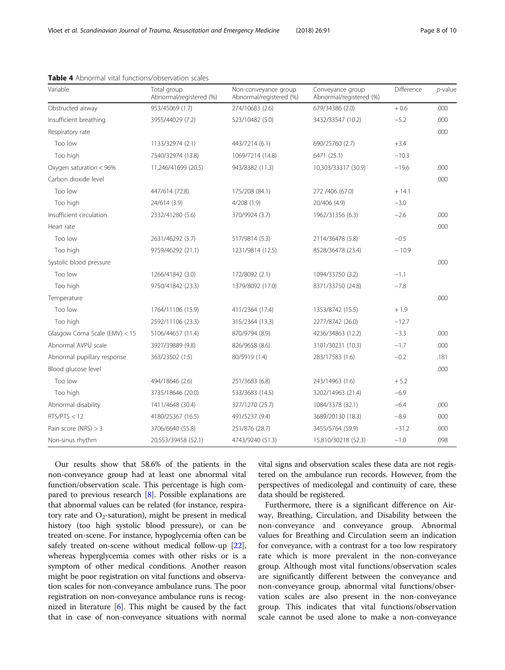| Variable                      | Total group<br>Abnormal/registered (%) | Non-conveyance group<br>Abnormal/registered (%) | Conveyance group<br>Abnormal/registered (%) | Difference | p-value |
|-------------------------------|----------------------------------------|-------------------------------------------------|---------------------------------------------|------------|---------|
| Obstructed airway             | 953/45069 (1.7)                        | 274/10683 (2.6)                                 | 679/34386 (2.0)                             | $+0.6$     | .000    |
| Insufficient breathing        | 3955/44029 (7.2)                       | 523/10482 (5.0)                                 | 3432/33547 (10.2)                           | $-5.2$     | .000    |
| Respiratory rate              |                                        |                                                 |                                             |            | .000    |
| Too low                       | 1133/32974 (2.1)                       | 443/7214 (6.1)                                  | 690/25760 (2.7)                             | $+3.4$     |         |
| Too high                      | 7540/32974 (13.8)                      | 1069/7214 (14.8)                                | 6471 (25.1)                                 | $-10.3$    |         |
| Oxygen saturation < 96%       | 11,246/41699 (20.5)                    | 943/8382 (11.3)                                 | 10,303/33317 (30.9)                         | $-19.6$    | .000    |
| Carbon dioxide level          |                                        |                                                 |                                             |            | .000    |
| Too low                       | 447/614 (72.8)                         | 175/208 (84.1)                                  | 272 /406 (67.0)                             | $+14.1$    |         |
| Too high                      | 24/614 (3.9)                           | 4/208(1.9)                                      | 20/406 (4.9)                                | $-3.0$     |         |
| Insufficient circulation      | 2332/41280 (5.6)                       | 370/9924 (3.7)                                  | 1962/31356 (6.3)                            | $-2.6$     | .000    |
| Heart rate                    |                                        |                                                 |                                             |            | .000    |
| Too low                       | 2631/46292 (5.7)                       | 517/9814 (5.3)                                  | 2114/36478 (5.8)                            | $-0.5$     |         |
| Too high                      | 9759/46292 (21.1)                      | 1231/9814 (12.5)                                | 8528/36478 (23.4)                           | $-10.9$    |         |
| Systolic blood pressure       |                                        |                                                 |                                             |            | .000    |
| Too low                       | 1266/41842 (3.0)                       | 172/8092 (2.1)                                  | 1094/33750 (3.2)                            | $-1.1$     |         |
| Too high                      | 9750/41842 (23.3)                      | 1379/8092 (17.0)                                | 8371/33750 (24.8)                           | $-7.8$     |         |
| Temperature                   |                                        |                                                 |                                             |            | .000    |
| Too low                       | 1764/11106 (15.9)                      | 411/2364 (17.4)                                 | 1353/8742 (15.5)                            | $+1.9$     |         |
| Too high                      | 2592/11106 (23.3)                      | 315/2364 (13.3)                                 | 2277/8742 (26.0)                            | $-12.7$    |         |
| Glasgow Coma Scale (EMV) < 15 | 5106/44657 (11.4)                      | 870/9794 (8.9)                                  | 4236/34863 (12.2)                           | $-3.3$     | .000    |
| Abnormal AVPU scale           | 3927/39889 (9.8)                       | 826/9658 (8.6)                                  | 3101/30231 (10.3)                           | $-1.7$     | .000    |
| Abnormal pupillary response   | 363/23502 (1.5)                        | 80/5919 (1.4)                                   | 283/17583 (1.6)                             | $-0.2$     | .181    |
| Blood glucose level           |                                        |                                                 |                                             |            | .000    |
| Too low                       | 494/18646 (2.6)                        | 251/3683 (6.8)                                  | 243/14963 (1.6)                             | $+5.2$     |         |
| Too high                      | 3735/18646 (20.0)                      | 533/3683 (14.5)                                 | 3202/14963 (21.4)                           | $-6.9$     |         |
| Abnormal disability           | 1411/4648 (30.4)                       | 327/1270 (25.7)                                 | 1084/3378 (32.1)                            | $-6.4$     | .000    |
| RTS/PTS < 12                  | 4180/25367 (16.5)                      | 491/5237 (9.4)                                  | 3689/20130 (18.3)                           | $-8.9$     | .000    |
| Pain score (NRS) $>$ 3        | 3706/6640 (55.8)                       | 251/876 (28.7)                                  | 3455/5764 (59.9)                            | $-31.2$    | .000    |
| Non-sinus rhythm              | 20,553/39458 (52.1)                    | 4743/9240 (51.3)                                | 15,810/30218 (52.3)                         | $-1.0$     | .098    |

<span id="page-7-0"></span>Table 4 Abnormal vital functions/observation scales

Our results show that 58.6% of the patients in the non-conveyance group had at least one abnormal vital function/observation scale. This percentage is high compared to previous research [[8\]](#page-8-0). Possible explanations are that abnormal values can be related (for instance, respiratory rate and  $O_2$ -saturation), might be present in medical history (too high systolic blood pressure), or can be treated on-scene. For instance, hypoglycemia often can be safely treated on-scene without medical follow-up [[22](#page-9-0)], whereas hyperglycemia comes with other risks or is a symptom of other medical conditions. Another reason might be poor registration on vital functions and observation scales for non-conveyance ambulance runs. The poor registration on non-conveyance ambulance runs is recognized in literature [[6\]](#page-8-0). This might be caused by the fact that in case of non-conveyance situations with normal vital signs and observation scales these data are not registered on the ambulance run records. However, from the perspectives of medicolegal and continuity of care, these data should be registered.

Furthermore, there is a significant difference on Airway, Breathing, Circulation, and Disability between the non-conveyance and conveyance group. Abnormal values for Breathing and Circulation seem an indication for conveyance, with a contrast for a too low respiratory rate which is more prevalent in the non-conveyance group. Although most vital functions/observation scales are significantly different between the conveyance and non-conveyance group, abnormal vital functions/observation scales are also present in the non-conveyance group. This indicates that vital functions/observation scale cannot be used alone to make a non-conveyance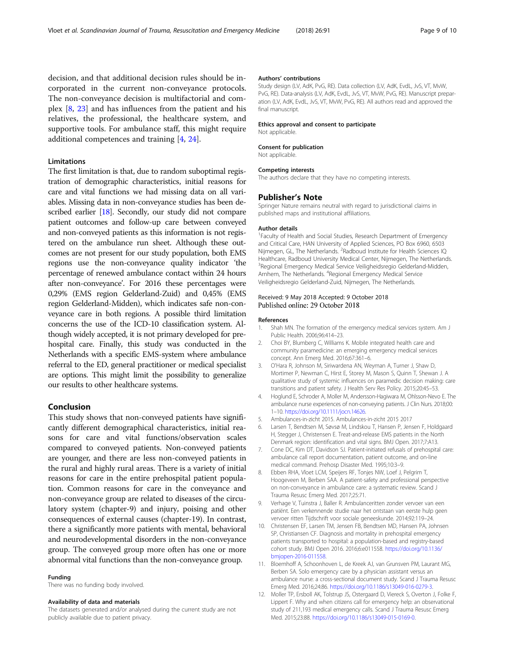<span id="page-8-0"></span>decision, and that additional decision rules should be incorporated in the current non-conveyance protocols. The non-conveyance decision is multifactorial and complex [8, [23\]](#page-9-0) and has influences from the patient and his relatives, the professional, the healthcare system, and supportive tools. For ambulance staff, this might require additional competences and training [4, [24\]](#page-9-0).

# Limitations

The first limitation is that, due to random suboptimal registration of demographic characteristics, initial reasons for care and vital functions we had missing data on all variables. Missing data in non-conveyance studies has been described earlier [\[18\]](#page-9-0). Secondly, our study did not compare patient outcomes and follow-up care between conveyed and non-conveyed patients as this information is not registered on the ambulance run sheet. Although these outcomes are not present for our study population, both EMS regions use the non-conveyance quality indicator 'the percentage of renewed ambulance contact within 24 hours after non-conveyance'. For 2016 these percentages were 0,29% (EMS region Gelderland-Zuid) and 0,45% (EMS region Gelderland-Midden), which indicates safe non-conveyance care in both regions. A possible third limitation concerns the use of the ICD-10 classification system. Although widely accepted, it is not primary developed for prehospital care. Finally, this study was conducted in the Netherlands with a specific EMS-system where ambulance referral to the ED, general practitioner or medical specialist are options. This might limit the possibility to generalize our results to other healthcare systems.

# Conclusion

This study shows that non-conveyed patients have significantly different demographical characteristics, initial reasons for care and vital functions/observation scales compared to conveyed patients. Non-conveyed patients are younger, and there are less non-conveyed patients in the rural and highly rural areas. There is a variety of initial reasons for care in the entire prehospital patient population. Common reasons for care in the conveyance and non-conveyance group are related to diseases of the circulatory system (chapter-9) and injury, poising and other consequences of external causes (chapter-19). In contrast, there a significantly more patients with mental, behavioral and neurodevelopmental disorders in the non-conveyance group. The conveyed group more often has one or more abnormal vital functions than the non-conveyance group.

# Funding

There was no funding body involved.

#### Availability of data and materials

The datasets generated and/or analysed during the current study are not publicly available due to patient privacy.

# Authors' contributions

Study design (LV, AdK, PvG, RE). Data collection (LV, AdK, EvdL, JvS, VT, MvW, PvG, RE). Data-analysis (LV, AdK, EvdL, JvS, VT, MvW, PvG, RE). Manuscript preparation (LV, AdK, EvdL, JvS, VT, MvW, PvG, RE). All authors read and approved the final manuscript.

# Ethics approval and consent to participate

Not applicable.

# Consent for publication

Not applicable.

# Competing interests

The authors declare that they have no competing interests.

# Publisher's Note

Springer Nature remains neutral with regard to jurisdictional claims in published maps and institutional affiliations.

#### Author details

<sup>1</sup> Faculty of Health and Social Studies, Research Department of Emergency and Critical Care, HAN University of Applied Sciences, PO Box 6960, 6503 Nijmegen, GL, The Netherlands. <sup>2</sup>Radboud Institute for Health Sciences IC Healthcare, Radboud University Medical Center, Nijmegen, The Netherlands. <sup>3</sup>Regional Emergency Medical Service Veiligheidsregio Gelderland-Midden, Arnhem, The Netherlands. <sup>4</sup>Regional Emergency Medical Service Veiligheidsregio Gelderland-Zuid, Nijmegen, The Netherlands.

# Received: 9 May 2018 Accepted: 9 October 2018 Published online: 29 October 2018

#### References

- 1. Shah MN. The formation of the emergency medical services system. Am J Public Health. 2006;96:414–23.
- 2. Choi BY, Blumberg C, Williams K. Mobile integrated health care and community paramedicine: an emerging emergency medical services concept. Ann Emerg Med. 2016;67:361–6.
- 3. O'Hara R, Johnson M, Siriwardena AN, Weyman A, Turner J, Shaw D, Mortimer P, Newman C, Hirst E, Storey M, Mason S, Quinn T, Shewan J. A qualitative study of systemic influences on paramedic decision making: care transitions and patient safety. J Health Serv Res Policy. 2015;20:45–53.
- 4. Hoglund E, Schroder A, Moller M, Andersson-Hagiwara M, Ohlsson-Nevo E. The ambulance nurse experiences of non-conveying patients. J Clin Nurs. 2018;00: 1–10. [https://doi.org/10.1111/jocn.14626.](https://doi.org/10.1111/jocn.14626)
- 5. Ambulances-in-zicht 2015. Ambulances-in-zicht 2015 2017
- 6. Larsen T, Bendtsen M, Søvsø M, Lindskou T, Hansen P, Jensen F, Holdgaard H, Stegger J, Christensen E. Treat-and-release EMS patients in the North Denmark region: identification and vital signs. BMJ Open. 2017;7:A13.
- 7. Cone DC, Kim DT, Davidson SJ. Patient-initiated refusals of prehospital care: ambulance call report documentation, patient outcome, and on-line medical command. Prehosp Disaster Med. 1995;10:3–9.
- 8. Ebben RHA, Vloet LCM, Speijers RF, Tonjes NW, Loef J, Pelgrim T, Hoogeveen M, Berben SAA. A patient-safety and professional perspective on non-conveyance in ambulance care: a systematic review. Scand J Trauma Resusc Emerg Med. 2017;25:71.
- 9. Verhage V, Tuinstra J, Baller R. Ambulanceritten zonder vervoer van een patiënt. Een verkennende studie naar het ontstaan van eerste hulp geen vervoer ritten Tijdschrift voor sociale geneeskunde. 2014;92:119–24.
- 10. Christensen EF, Larsen TM, Jensen FB, Bendtsen MD, Hansen PA, Johnsen SP, Christiansen CF. Diagnosis and mortality in prehospital emergency patients transported to hospital: a population-based and registry-based cohort study. BMJ Open 2016. 2016;6:e011558. [https://doi.org/10.1136/](https://doi.org/10.1136/bmjopen-2016-011558) [bmjopen-2016-011558.](https://doi.org/10.1136/bmjopen-2016-011558)
- 11. Bloemhoff A, Schoonhoven L, de Kreek AJ, van Grunsven PM, Laurant MG, Berben SA. Solo emergency care by a physician assistant versus an ambulance nurse: a cross-sectional document study. Scand J Trauma Resusc Emerg Med. 2016;24:86. [https://doi.org/10.1186/s13049-016-0279-3.](https://doi.org/10.1186/s13049-016-0279-3)
- 12. Moller TP, Ersboll AK, Tolstrup JS, Ostergaard D, Viereck S, Overton J, Folke F, Lippert F. Why and when citizens call for emergency help: an observational study of 211,193 medical emergency calls. Scand J Trauma Resusc Emerg Med. 2015;23:88. <https://doi.org/10.1186/s13049-015-0169-0>.